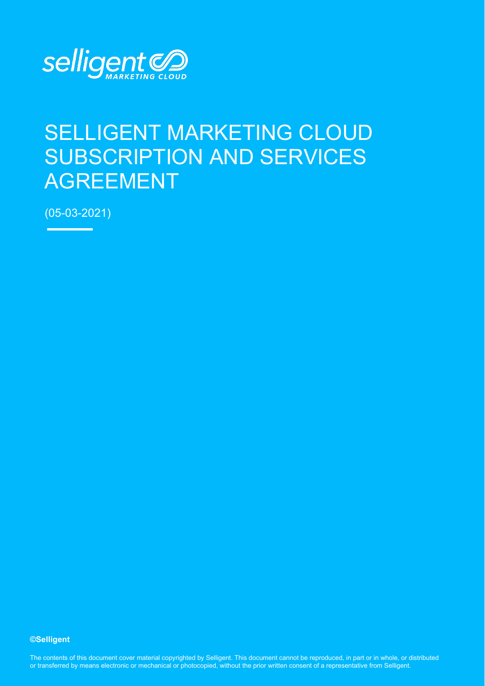

# SELLIGENT MARKETING CLOUD SUBSCRIPTION AND SERVICES AGREEMENT

(05-03-2021)

**©Selligent** 

The contents of this document cover material copyrighted by Selligent. This document cannot be reproduced, in part or in whole, or distributed or transferred by means electronic or mechanical or photocopied, without the prior written consent of a representative from Selligent.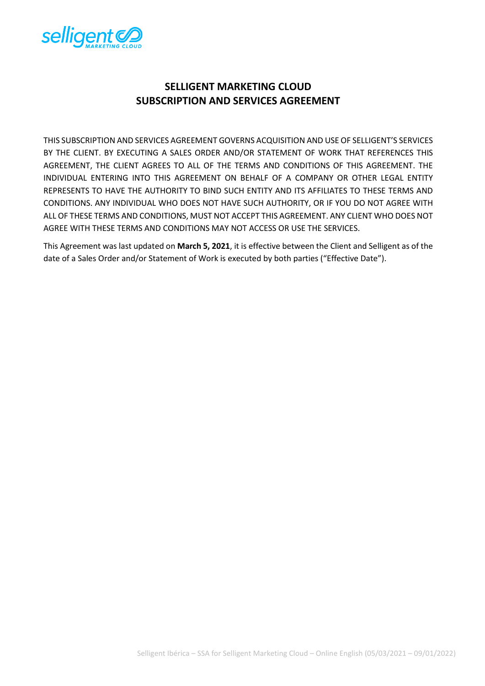

# **SELLIGENT MARKETING CLOUD SUBSCRIPTION AND SERVICES AGREEMENT**

THIS SUBSCRIPTION AND SERVICES AGREEMENT GOVERNS ACQUISITION AND USE OF SELLIGENT'S SERVICES BY THE CLIENT. BY EXECUTING A SALES ORDER AND/OR STATEMENT OF WORK THAT REFERENCES THIS AGREEMENT, THE CLIENT AGREES TO ALL OF THE TERMS AND CONDITIONS OF THIS AGREEMENT. THE INDIVIDUAL ENTERING INTO THIS AGREEMENT ON BEHALF OF A COMPANY OR OTHER LEGAL ENTITY REPRESENTS TO HAVE THE AUTHORITY TO BIND SUCH ENTITY AND ITS AFFILIATES TO THESE TERMS AND CONDITIONS. ANY INDIVIDUAL WHO DOES NOT HAVE SUCH AUTHORITY, OR IF YOU DO NOT AGREE WITH ALL OF THESE TERMS AND CONDITIONS, MUST NOT ACCEPT THIS AGREEMENT. ANY CLIENT WHO DOES NOT AGREE WITH THESE TERMS AND CONDITIONS MAY NOT ACCESS OR USE THE SERVICES.

This Agreement was last updated on **March 5, 2021**, it is effective between the Client and Selligent as of the date of a Sales Order and/or Statement of Work is executed by both parties ("Effective Date").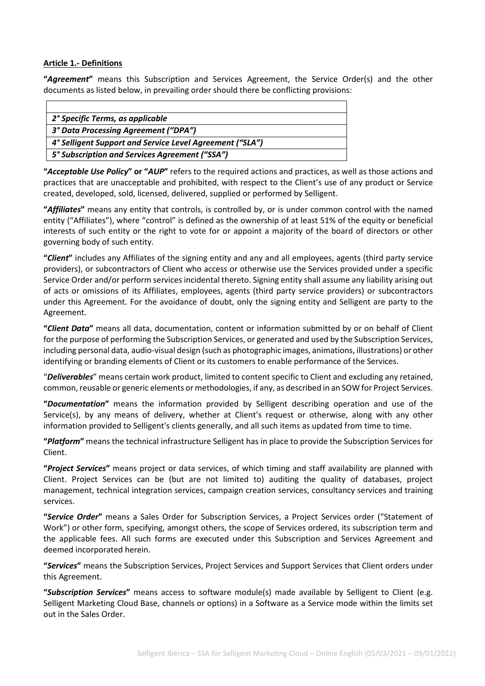#### **Article 1.- Definitions**

 $\mathsf{r}$ 

**"***Agreement***"** means this Subscription and Services Agreement, the Service Order(s) and the other documents as listed below, in prevailing order should there be conflicting provisions:

| 2° Specific Terms, as applicable                         |
|----------------------------------------------------------|
| 3° Data Processing Agreement ("DPA")                     |
| 4° Selligent Support and Service Level Agreement ("SLA") |
| 5° Subscription and Services Agreement ("SSA")           |
|                                                          |

**"***Acceptable Use Policy***" or "***AUP***"** refers to the required actions and practices, as well as those actions and practices that are unacceptable and prohibited, with respect to the Client's use of any product or Service created, developed, sold, licensed, delivered, supplied or performed by Selligent.

**"***Affiliates***"** means any entity that controls, is controlled by, or is under common control with the named entity ("Affiliates"), where "control" is defined as the ownership of at least 51% of the equity or beneficial interests of such entity or the right to vote for or appoint a majority of the board of directors or other governing body of such entity.

**"***Client***"** includes any Affiliates of the signing entity and any and all employees, agents (third party service providers), or subcontractors of Client who access or otherwise use the Services provided under a specific Service Order and/or perform services incidental thereto. Signing entity shall assume any liability arising out of acts or omissions of its Affiliates, employees, agents (third party service providers) or subcontractors under this Agreement. For the avoidance of doubt, only the signing entity and Selligent are party to the Agreement.

**"***Client Data***"** means all data, documentation, content or information submitted by or on behalf of Client for the purpose of performing the Subscription Services, or generated and used by the Subscription Services, including personal data, audio-visual design (such as photographic images, animations, illustrations) or other identifying or branding elements of Client or its customers to enable performance of the Services.

"*Deliverables*" means certain work product, limited to content specific to Client and excluding any retained, common, reusable or generic elements or methodologies, if any, as described in an SOW for Project Services.

**"***Documentation***"** means the information provided by Selligent describing operation and use of the Service(s), by any means of delivery, whether at Client's request or otherwise, along with any other information provided to Selligent's clients generally, and all such items as updated from time to time.

**"***Platform***"** means the technical infrastructure Selligent has in place to provide the Subscription Services for Client.

**"***Project Services***"** means project or data services, of which timing and staff availability are planned with Client. Project Services can be (but are not limited to) auditing the quality of databases, project management, technical integration services, campaign creation services, consultancy services and training services.

**"***Service Order***"** means a Sales Order for Subscription Services, a Project Services order ("Statement of Work") or other form, specifying, amongst others, the scope of Services ordered, its subscription term and the applicable fees. All such forms are executed under this Subscription and Services Agreement and deemed incorporated herein.

**"***Services***"** means the Subscription Services, Project Services and Support Services that Client orders under this Agreement.

**"***Subscription Services***"** means access to software module(s) made available by Selligent to Client (e.g. Selligent Marketing Cloud Base, channels or options) in a Software as a Service mode within the limits set out in the Sales Order.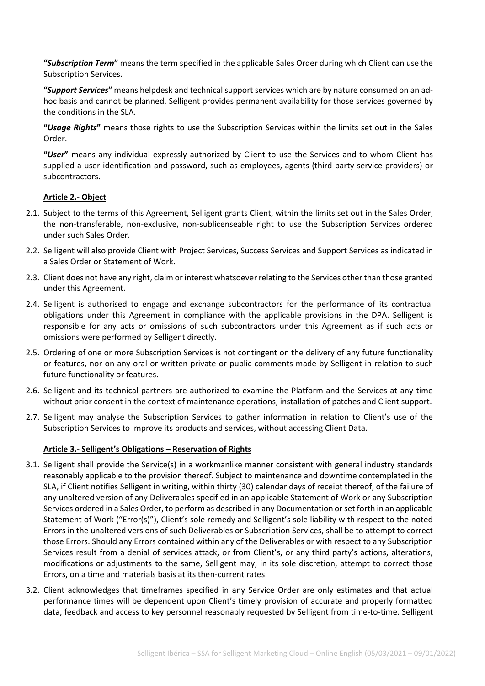**"***Subscription Term***"** means the term specified in the applicable Sales Order during which Client can use the Subscription Services.

**"***Support Services***"** means helpdesk and technical support services which are by nature consumed on an adhoc basis and cannot be planned. Selligent provides permanent availability for those services governed by the conditions in the SLA.

**"***Usage Rights***"** means those rights to use the Subscription Services within the limits set out in the Sales Order.

**"***User***"** means any individual expressly authorized by Client to use the Services and to whom Client has supplied a user identification and password, such as employees, agents (third-party service providers) or subcontractors.

#### **Article 2.- Object**

- 2.1. Subject to the terms of this Agreement, Selligent grants Client, within the limits set out in the Sales Order, the non-transferable, non-exclusive, non-sublicenseable right to use the Subscription Services ordered under such Sales Order.
- 2.2. Selligent will also provide Client with Project Services, Success Services and Support Services as indicated in a Sales Order or Statement of Work.
- 2.3. Client does not have any right, claim or interest whatsoever relating to the Services other than those granted under this Agreement.
- 2.4. Selligent is authorised to engage and exchange subcontractors for the performance of its contractual obligations under this Agreement in compliance with the applicable provisions in the DPA. Selligent is responsible for any acts or omissions of such subcontractors under this Agreement as if such acts or omissions were performed by Selligent directly.
- 2.5. Ordering of one or more Subscription Services is not contingent on the delivery of any future functionality or features, nor on any oral or written private or public comments made by Selligent in relation to such future functionality or features.
- 2.6. Selligent and its technical partners are authorized to examine the Platform and the Services at any time without prior consent in the context of maintenance operations, installation of patches and Client support.
- 2.7. Selligent may analyse the Subscription Services to gather information in relation to Client's use of the Subscription Services to improve its products and services, without accessing Client Data.

#### **Article 3.- Selligent's Obligations – Reservation of Rights**

- 3.1. Selligent shall provide the Service(s) in a workmanlike manner consistent with general industry standards reasonably applicable to the provision thereof. Subject to maintenance and downtime contemplated in the SLA, if Client notifies Selligent in writing, within thirty (30) calendar days of receipt thereof, of the failure of any unaltered version of any Deliverables specified in an applicable Statement of Work or any Subscription Services ordered in a Sales Order, to perform as described in any Documentation or set forth in an applicable Statement of Work ("Error(s)"), Client's sole remedy and Selligent's sole liability with respect to the noted Errors in the unaltered versions of such Deliverables or Subscription Services, shall be to attempt to correct those Errors. Should any Errors contained within any of the Deliverables or with respect to any Subscription Services result from a denial of services attack, or from Client's, or any third party's actions, alterations, modifications or adjustments to the same, Selligent may, in its sole discretion, attempt to correct those Errors, on a time and materials basis at its then-current rates.
- 3.2. Client acknowledges that timeframes specified in any Service Order are only estimates and that actual performance times will be dependent upon Client's timely provision of accurate and properly formatted data, feedback and access to key personnel reasonably requested by Selligent from time-to-time. Selligent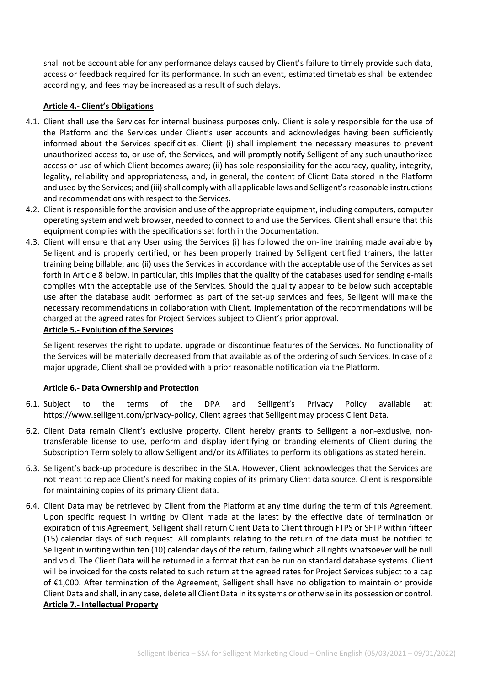shall not be account able for any performance delays caused by Client's failure to timely provide such data, access or feedback required for its performance. In such an event, estimated timetables shall be extended accordingly, and fees may be increased as a result of such delays.

### **Article 4.- Client's Obligations**

- 4.1. Client shall use the Services for internal business purposes only. Client is solely responsible for the use of the Platform and the Services under Client's user accounts and acknowledges having been sufficiently informed about the Services specificities. Client (i) shall implement the necessary measures to prevent unauthorized access to, or use of, the Services, and will promptly notify Selligent of any such unauthorized access or use of which Client becomes aware; (ii) has sole responsibility for the accuracy, quality, integrity, legality, reliability and appropriateness, and, in general, the content of Client Data stored in the Platform and used by the Services; and (iii) shall comply with all applicable laws and Selligent's reasonable instructions and recommendations with respect to the Services.
- 4.2. Client is responsible forthe provision and use of the appropriate equipment, including computers, computer operating system and web browser, needed to connect to and use the Services. Client shall ensure that this equipment complies with the specifications set forth in the Documentation.
- 4.3. Client will ensure that any User using the Services (i) has followed the on-line training made available by Selligent and is properly certified, or has been properly trained by Selligent certified trainers, the latter training being billable; and (ii) uses the Services in accordance with the acceptable use of the Services as set forth in Article 8 below. In particular, this implies that the quality of the databases used for sending e-mails complies with the acceptable use of the Services. Should the quality appear to be below such acceptable use after the database audit performed as part of the set-up services and fees, Selligent will make the necessary recommendations in collaboration with Client. Implementation of the recommendations will be charged at the agreed rates for Project Services subject to Client's prior approval.

#### **Article 5.- Evolution of the Services**

Selligent reserves the right to update, upgrade or discontinue features of the Services. No functionality of the Services will be materially decreased from that available as of the ordering of such Services. In case of a major upgrade, Client shall be provided with a prior reasonable notification via the Platform.

#### **Article 6.- Data Ownership and Protection**

- 6.1. Subject to the terms of the DPA and Selligent's Privacy Policy available at: [https://www.selligent.com/privacy-policy,](https://www.selligent.com/privacy-policy) Client agrees that Selligent may process Client Data.
- 6.2. Client Data remain Client's exclusive property. Client hereby grants to Selligent a non-exclusive, nontransferable license to use, perform and display identifying or branding elements of Client during the Subscription Term solely to allow Selligent and/or its Affiliates to perform its obligations as stated herein.
- 6.3. Selligent's back-up procedure is described in the SLA. However, Client acknowledges that the Services are not meant to replace Client's need for making copies of its primary Client data source. Client is responsible for maintaining copies of its primary Client data.
- 6.4. Client Data may be retrieved by Client from the Platform at any time during the term of this Agreement. Upon specific request in writing by Client made at the latest by the effective date of termination or expiration of this Agreement, Selligent shall return Client Data to Client through FTPS or SFTP within fifteen (15) calendar days of such request. All complaints relating to the return of the data must be notified to Selligent in writing within ten (10) calendar days of the return, failing which all rights whatsoever will be null and void. The Client Data will be returned in a format that can be run on standard database systems. Client will be invoiced for the costs related to such return at the agreed rates for Project Services subject to a cap of €1,000. After termination of the Agreement, Selligent shall have no obligation to maintain or provide Client Data and shall, in any case, delete all Client Data in its systems or otherwise in its possession or control. **Article 7.- Intellectual Property**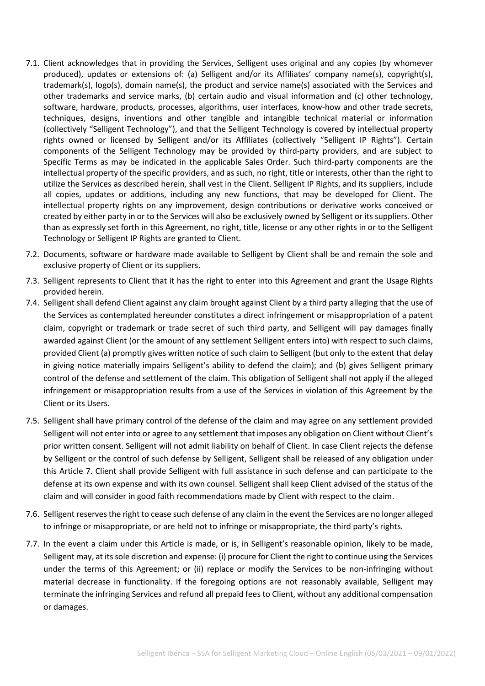- 7.1. Client acknowledges that in providing the Services, Selligent uses original and any copies (by whomever produced), updates or extensions of: (a) Selligent and/or its Affiliates' company name(s), copyright(s), trademark(s), logo(s), domain name(s), the product and service name(s) associated with the Services and other trademarks and service marks, (b) certain audio and visual information and (c) other technology, software, hardware, products, processes, algorithms, user interfaces, know-how and other trade secrets, techniques, designs, inventions and other tangible and intangible technical material or information (collectively "Selligent Technology"), and that the Selligent Technology is covered by intellectual property rights owned or licensed by Selligent and/or its Affiliates (collectively "Selligent IP Rights"). Certain components of the Selligent Technology may be provided by third-party providers, and are subject to Specific Terms as may be indicated in the applicable Sales Order. Such third-party components are the intellectual property of the specific providers, and as such, no right, title or interests, other than the right to utilize the Services as described herein, shall vest in the Client. Selligent IP Rights, and its suppliers, include all copies, updates or additions, including any new functions, that may be developed for Client. The intellectual property rights on any improvement, design contributions or derivative works conceived or created by either party in or to the Services will also be exclusively owned by Selligent or its suppliers. Other than as expressly set forth in this Agreement, no right, title, license or any other rights in or to the Selligent Technology or Selligent IP Rights are granted to Client.
- 7.2. Documents, software or hardware made available to Selligent by Client shall be and remain the sole and exclusive property of Client or its suppliers.
- 7.3. Selligent represents to Client that it has the right to enter into this Agreement and grant the Usage Rights provided herein.
- 7.4. Selligent shall defend Client against any claim brought against Client by a third party alleging that the use of the Services as contemplated hereunder constitutes a direct infringement or misappropriation of a patent claim, copyright or trademark or trade secret of such third party, and Selligent will pay damages finally awarded against Client (or the amount of any settlement Selligent enters into) with respect to such claims, provided Client (a) promptly gives written notice of such claim to Selligent (but only to the extent that delay in giving notice materially impairs Selligent's ability to defend the claim); and (b) gives Selligent primary control of the defense and settlement of the claim. This obligation of Selligent shall not apply if the alleged infringement or misappropriation results from a use of the Services in violation of this Agreement by the Client or its Users.
- 7.5. Selligent shall have primary control of the defense of the claim and may agree on any settlement provided Selligent will not enter into or agree to any settlement that imposes any obligation on Client without Client's prior written consent. Selligent will not admit liability on behalf of Client. In case Client rejects the defense by Selligent or the control of such defense by Selligent, Selligent shall be released of any obligation under this Article 7. Client shall provide Selligent with full assistance in such defense and can participate to the defense at its own expense and with its own counsel. Selligent shall keep Client advised of the status of the claim and will consider in good faith recommendations made by Client with respect to the claim.
- 7.6. Selligent reserves the right to cease such defense of any claim in the event the Services are no longer alleged to infringe or misappropriate, or are held not to infringe or misappropriate, the third party's rights.
- 7.7. In the event a claim under this Article is made, or is, in Selligent's reasonable opinion, likely to be made, Selligent may, at its sole discretion and expense: (i) procure for Client the right to continue using the Services under the terms of this Agreement; or (ii) replace or modify the Services to be non-infringing without material decrease in functionality. If the foregoing options are not reasonably available, Selligent may terminate the infringing Services and refund all prepaid fees to Client, without any additional compensation or damages.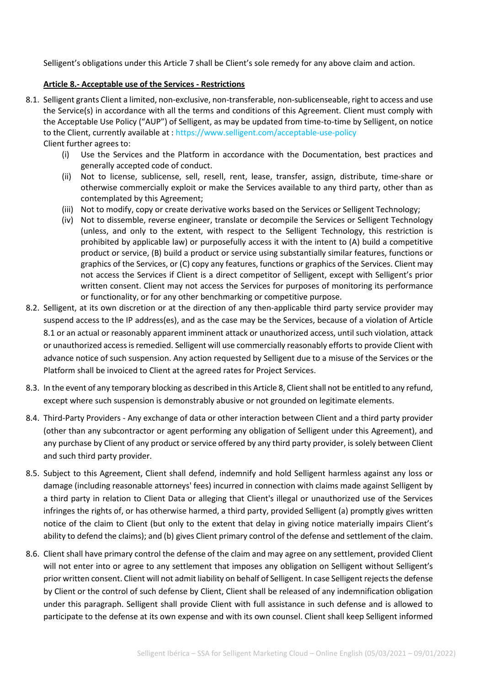Selligent's obligations under this Article 7 shall be Client's sole remedy for any above claim and action.

### **Article 8.- Acceptable use of the Services - Restrictions**

- 8.1. Selligent grants Client a limited, non-exclusive, non-transferable, non-sublicenseable, right to access and use the Service(s) in accordance with all the terms and conditions of this Agreement. Client must comply with the Acceptable Use Policy ("AUP") of Selligent, as may be updated from time-to-time by Selligent, on notice to the Client, currently available at :<https://www.selligent.com/acceptable-use-policy> Client further agrees to:
	- (i) Use the Services and the Platform in accordance with the Documentation, best practices and generally accepted code of conduct.
	- (ii) Not to license, sublicense, sell, resell, rent, lease, transfer, assign, distribute, time-share or otherwise commercially exploit or make the Services available to any third party, other than as contemplated by this Agreement;
	- (iii) Not to modify, copy or create derivative works based on the Services or Selligent Technology;
	- (iv) Not to dissemble, reverse engineer, translate or decompile the Services or Selligent Technology (unless, and only to the extent, with respect to the Selligent Technology, this restriction is prohibited by applicable law) or purposefully access it with the intent to (A) build a competitive product or service, (B) build a product or service using substantially similar features, functions or graphics of the Services, or (C) copy any features, functions or graphics of the Services. Client may not access the Services if Client is a direct competitor of Selligent, except with Selligent's prior written consent. Client may not access the Services for purposes of monitoring its performance or functionality, or for any other benchmarking or competitive purpose.
- 8.2. Selligent, at its own discretion or at the direction of any then-applicable third party service provider may suspend access to the IP address(es), and as the case may be the Services, because of a violation of Article 8.1 or an actual or reasonably apparent imminent attack or unauthorized access, until such violation, attack or unauthorized access is remedied. Selligent will use commercially reasonably efforts to provide Client with advance notice of such suspension. Any action requested by Selligent due to a misuse of the Services or the Platform shall be invoiced to Client at the agreed rates for Project Services.
- 8.3. In the event of any temporary blocking as described in this Article 8, Client shall not be entitled to any refund, except where such suspension is demonstrably abusive or not grounded on legitimate elements.
- 8.4. Third-Party Providers Any exchange of data or other interaction between Client and a third party provider (other than any subcontractor or agent performing any obligation of Selligent under this Agreement), and any purchase by Client of any product or service offered by any third party provider, is solely between Client and such third party provider.
- 8.5. Subject to this Agreement, Client shall defend, indemnify and hold Selligent harmless against any loss or damage (including reasonable attorneys' fees) incurred in connection with claims made against Selligent by a third party in relation to Client Data or alleging that Client's illegal or unauthorized use of the Services infringes the rights of, or has otherwise harmed, a third party, provided Selligent (a) promptly gives written notice of the claim to Client (but only to the extent that delay in giving notice materially impairs Client's ability to defend the claims); and (b) gives Client primary control of the defense and settlement of the claim.
- 8.6. Client shall have primary control the defense of the claim and may agree on any settlement, provided Client will not enter into or agree to any settlement that imposes any obligation on Selligent without Selligent's prior written consent. Client will not admit liability on behalf of Selligent. In case Selligent rejects the defense by Client or the control of such defense by Client, Client shall be released of any indemnification obligation under this paragraph. Selligent shall provide Client with full assistance in such defense and is allowed to participate to the defense at its own expense and with its own counsel. Client shall keep Selligent informed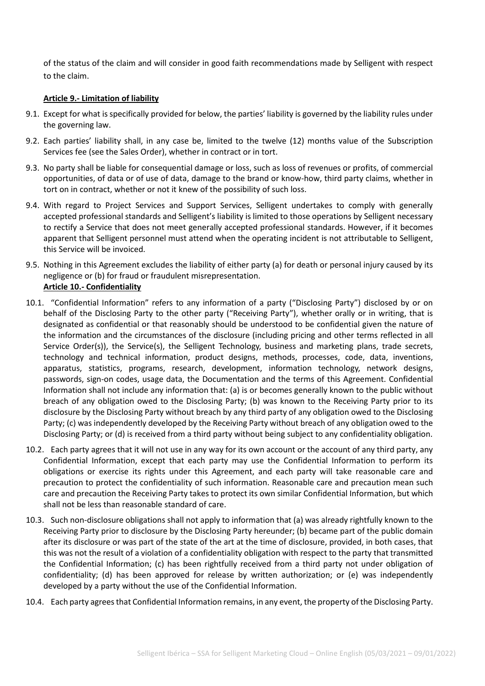of the status of the claim and will consider in good faith recommendations made by Selligent with respect to the claim.

#### **Article 9.- Limitation of liability**

- 9.1. Except for what is specifically provided for below, the parties' liability is governed by the liability rules under the governing law.
- 9.2. Each parties' liability shall, in any case be, limited to the twelve (12) months value of the Subscription Services fee (see the Sales Order), whether in contract or in tort.
- 9.3. No party shall be liable for consequential damage or loss, such as loss of revenues or profits, of commercial opportunities, of data or of use of data, damage to the brand or know-how, third party claims, whether in tort on in contract, whether or not it knew of the possibility of such loss.
- 9.4. With regard to Project Services and Support Services, Selligent undertakes to comply with generally accepted professional standards and Selligent's liability is limited to those operations by Selligent necessary to rectify a Service that does not meet generally accepted professional standards. However, if it becomes apparent that Selligent personnel must attend when the operating incident is not attributable to Selligent, this Service will be invoiced.
- 9.5. Nothing in this Agreement excludes the liability of either party (a) for death or personal injury caused by its negligence or (b) for fraud or fraudulent misrepresentation. **Article 10.- Confidentiality**
- 10.1. "Confidential Information" refers to any information of a party ("Disclosing Party") disclosed by or on behalf of the Disclosing Party to the other party ("Receiving Party"), whether orally or in writing, that is designated as confidential or that reasonably should be understood to be confidential given the nature of the information and the circumstances of the disclosure (including pricing and other terms reflected in all Service Order(s)), the Service(s), the Selligent Technology, business and marketing plans, trade secrets, technology and technical information, product designs, methods, processes, code, data, inventions, apparatus, statistics, programs, research, development, information technology, network designs, passwords, sign-on codes, usage data, the Documentation and the terms of this Agreement. Confidential Information shall not include any information that: (a) is or becomes generally known to the public without breach of any obligation owed to the Disclosing Party; (b) was known to the Receiving Party prior to its disclosure by the Disclosing Party without breach by any third party of any obligation owed to the Disclosing Party; (c) was independently developed by the Receiving Party without breach of any obligation owed to the Disclosing Party; or (d) is received from a third party without being subject to any confidentiality obligation.
- 10.2. Each party agrees that it will not use in any way for its own account or the account of any third party, any Confidential Information, except that each party may use the Confidential Information to perform its obligations or exercise its rights under this Agreement, and each party will take reasonable care and precaution to protect the confidentiality of such information. Reasonable care and precaution mean such care and precaution the Receiving Party takes to protect its own similar Confidential Information, but which shall not be less than reasonable standard of care.
- 10.3. Such non-disclosure obligations shall not apply to information that (a) was already rightfully known to the Receiving Party prior to disclosure by the Disclosing Party hereunder; (b) became part of the public domain after its disclosure or was part of the state of the art at the time of disclosure, provided, in both cases, that this was not the result of a violation of a confidentiality obligation with respect to the party that transmitted the Confidential Information; (c) has been rightfully received from a third party not under obligation of confidentiality; (d) has been approved for release by written authorization; or (e) was independently developed by a party without the use of the Confidential Information.
- 10.4. Each party agrees that Confidential Information remains, in any event, the property of the Disclosing Party.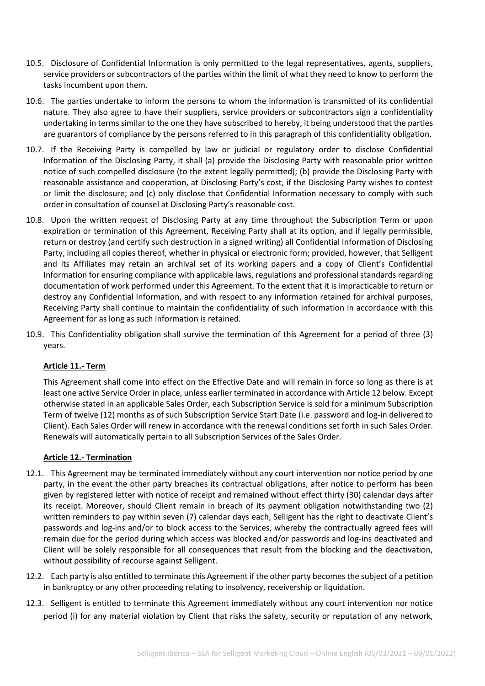- 10.5. Disclosure of Confidential Information is only permitted to the legal representatives, agents, suppliers, service providers or subcontractors of the parties within the limit of what they need to know to perform the tasks incumbent upon them.
- 10.6. The parties undertake to inform the persons to whom the information is transmitted of its confidential nature. They also agree to have their suppliers, service providers or subcontractors sign a confidentiality undertaking in terms similar to the one they have subscribed to hereby, it being understood that the parties are guarantors of compliance by the persons referred to in this paragraph of this confidentiality obligation.
- 10.7. If the Receiving Party is compelled by law or judicial or regulatory order to disclose Confidential Information of the Disclosing Party, it shall (a) provide the Disclosing Party with reasonable prior written notice of such compelled disclosure (to the extent legally permitted); (b) provide the Disclosing Party with reasonable assistance and cooperation, at Disclosing Party's cost, if the Disclosing Party wishes to contest or limit the disclosure; and (c) only disclose that Confidential Information necessary to comply with such order in consultation of counsel at Disclosing Party's reasonable cost.
- 10.8. Upon the written request of Disclosing Party at any time throughout the Subscription Term or upon expiration or termination of this Agreement, Receiving Party shall at its option, and if legally permissible, return or destroy (and certify such destruction in a signed writing) all Confidential Information of Disclosing Party, including all copies thereof, whether in physical or electronic form; provided, however, that Selligent and its Affiliates may retain an archival set of its working papers and a copy of Client's Confidential Information for ensuring compliance with applicable laws, regulations and professional standards regarding documentation of work performed under this Agreement. To the extent that it is impracticable to return or destroy any Confidential Information, and with respect to any information retained for archival purposes, Receiving Party shall continue to maintain the confidentiality of such information in accordance with this Agreement for as long as such information is retained.
- 10.9. This Confidentiality obligation shall survive the termination of this Agreement for a period of three (3) years.

# **Article 11.- Term**

This Agreement shall come into effect on the Effective Date and will remain in force so long as there is at least one active Service Order in place, unless earlier terminated in accordance with Article 12 below. Except otherwise stated in an applicable Sales Order, each Subscription Service is sold for a minimum Subscription Term of twelve (12) months as of such Subscription Service Start Date (i.e. password and log-in delivered to Client). Each Sales Order will renew in accordance with the renewal conditions set forth in such Sales Order. Renewals will automatically pertain to all Subscription Services of the Sales Order.

#### **Article 12.- Termination**

- 12.1. This Agreement may be terminated immediately without any court intervention nor notice period by one party, in the event the other party breaches its contractual obligations, after notice to perform has been given by registered letter with notice of receipt and remained without effect thirty (30) calendar days after its receipt. Moreover, should Client remain in breach of its payment obligation notwithstanding two (2) written reminders to pay within seven (7) calendar days each, Selligent has the right to deactivate Client's passwords and log-ins and/or to block access to the Services, whereby the contractually agreed fees will remain due for the period during which access was blocked and/or passwords and log-ins deactivated and Client will be solely responsible for all consequences that result from the blocking and the deactivation, without possibility of recourse against Selligent.
- 12.2. Each party is also entitled to terminate this Agreement if the other party becomes the subject of a petition in bankruptcy or any other proceeding relating to insolvency, receivership or liquidation.
- 12.3. Selligent is entitled to terminate this Agreement immediately without any court intervention nor notice period (i) for any material violation by Client that risks the safety, security or reputation of any network,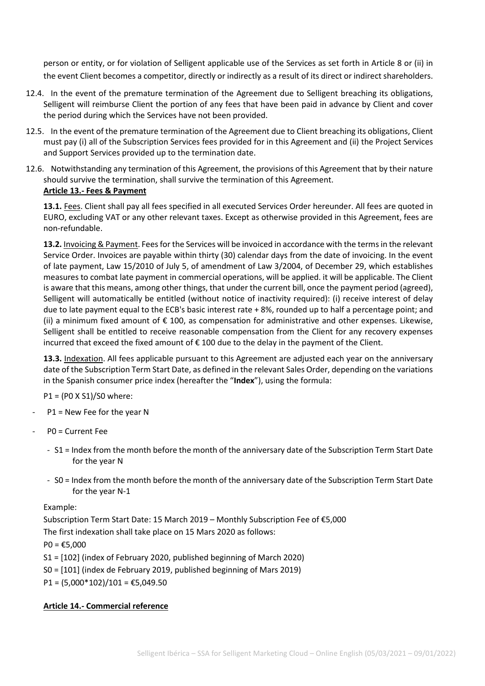person or entity, or for violation of Selligent applicable use of the Services as set forth in Article 8 or (ii) in the event Client becomes a competitor, directly or indirectly as a result of its direct or indirect shareholders.

- 12.4. In the event of the premature termination of the Agreement due to Selligent breaching its obligations, Selligent will reimburse Client the portion of any fees that have been paid in advance by Client and cover the period during which the Services have not been provided.
- 12.5. In the event of the premature termination of the Agreement due to Client breaching its obligations, Client must pay (i) all of the Subscription Services fees provided for in this Agreement and (ii) the Project Services and Support Services provided up to the termination date.
- 12.6. Notwithstanding any termination of this Agreement, the provisions of this Agreement that by their nature should survive the termination, shall survive the termination of this Agreement.

# **Article 13.- Fees & Payment**

**13.1.** Fees. Client shall pay all fees specified in all executed Services Order hereunder. All fees are quoted in EURO, excluding VAT or any other relevant taxes. Except as otherwise provided in this Agreement, fees are non-refundable.

**13.2.** Invoicing & Payment. Fees for the Services will be invoiced in accordance with the terms in the relevant Service Order. Invoices are payable within thirty (30) calendar days from the date of invoicing. In the event of late payment, Law 15/2010 of July 5, of amendment of Law 3/2004, of December 29, which establishes measures to combat late payment in commercial operations, will be applied. it will be applicable. The Client is aware that this means, among other things, that under the current bill, once the payment period (agreed), Selligent will automatically be entitled (without notice of inactivity required): (i) receive interest of delay due to late payment equal to the ECB's basic interest rate + 8%, rounded up to half a percentage point; and (ii) a minimum fixed amount of € 100, as compensation for administrative and other expenses. Likewise, Selligent shall be entitled to receive reasonable compensation from the Client for any recovery expenses incurred that exceed the fixed amount of € 100 due to the delay in the payment of the Client.

**13.3.** Indexation. All fees applicable pursuant to this Agreement are adjusted each year on the anniversary date of the Subscription Term Start Date, as defined in the relevant Sales Order, depending on the variations in the Spanish consumer price index (hereafter the "**Index**"), using the formula:

# P1 = (P0 X S1)/S0 where:

- $P1$  = New Fee for the year N
- P0 = Current Fee
	- S1 = Index from the month before the month of the anniversary date of the Subscription Term Start Date for the year N
	- S0 = Index from the month before the month of the anniversary date of the Subscription Term Start Date for the year N-1

# Example:

Subscription Term Start Date: 15 March 2019 – Monthly Subscription Fee of €5,000 The first indexation shall take place on 15 Mars 2020 as follows:

 $PO = £5,000$ 

- S1 = [102] (index of February 2020, published beginning of March 2020)
- S0 = [101] (index de February 2019, published beginning of Mars 2019)
- $P1 = (5,000*102)/101 = \text{\textsterling}5,049.50$

# **Article 14.- Commercial reference**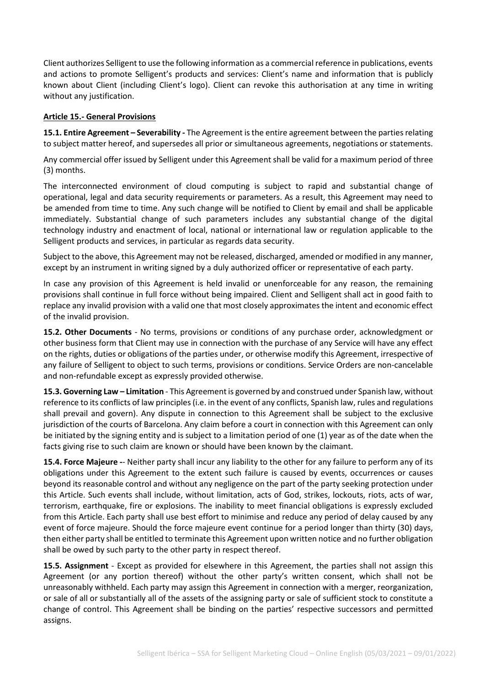Client authorizes Selligent to use the following information as a commercial reference in publications, events and actions to promote Selligent's products and services: Client's name and information that is publicly known about Client (including Client's logo). Client can revoke this authorisation at any time in writing without any justification.

#### **Article 15.- General Provisions**

**15.1. Entire Agreement – Severability -** The Agreement is the entire agreement between the parties relating to subject matter hereof, and supersedes all prior or simultaneous agreements, negotiations or statements.

Any commercial offer issued by Selligent under this Agreement shall be valid for a maximum period of three (3) months.

The interconnected environment of cloud computing is subject to rapid and substantial change of operational, legal and data security requirements or parameters. As a result, this Agreement may need to be amended from time to time. Any such change will be notified to Client by email and shall be applicable immediately. Substantial change of such parameters includes any substantial change of the digital technology industry and enactment of local, national or international law or regulation applicable to the Selligent products and services, in particular as regards data security.

Subject to the above, this Agreement may not be released, discharged, amended or modified in any manner, except by an instrument in writing signed by a duly authorized officer or representative of each party.

In case any provision of this Agreement is held invalid or unenforceable for any reason, the remaining provisions shall continue in full force without being impaired. Client and Selligent shall act in good faith to replace any invalid provision with a valid one that most closely approximates the intent and economic effect of the invalid provision.

**15.2. Other Documents** - No terms, provisions or conditions of any purchase order, acknowledgment or other business form that Client may use in connection with the purchase of any Service will have any effect on the rights, duties or obligations of the parties under, or otherwise modify this Agreement, irrespective of any failure of Selligent to object to such terms, provisions or conditions. Service Orders are non-cancelable and non-refundable except as expressly provided otherwise.

**15.3. Governing Law – Limitation** - This Agreement is governed by and construed under Spanish law, without reference to its conflicts of law principles (i.e. in the event of any conflicts, Spanish law, rules and regulations shall prevail and govern). Any dispute in connection to this Agreement shall be subject to the exclusive jurisdiction of the courts of Barcelona. Any claim before a court in connection with this Agreement can only be initiated by the signing entity and is subject to a limitation period of one (1) year as of the date when the facts giving rise to such claim are known or should have been known by the claimant.

**15.4. Force Majeure -**- Neither party shall incur any liability to the other for any failure to perform any of its obligations under this Agreement to the extent such failure is caused by events, occurrences or causes beyond its reasonable control and without any negligence on the part of the party seeking protection under this Article. Such events shall include, without limitation, acts of God, strikes, lockouts, riots, acts of war, terrorism, earthquake, fire or explosions. The inability to meet financial obligations is expressly excluded from this Article. Each party shall use best effort to minimise and reduce any period of delay caused by any event of force majeure. Should the force majeure event continue for a period longer than thirty (30) days, then either party shall be entitled to terminate this Agreement upon written notice and no further obligation shall be owed by such party to the other party in respect thereof.

**15.5. Assignment** - Except as provided for elsewhere in this Agreement, the parties shall not assign this Agreement (or any portion thereof) without the other party's written consent, which shall not be unreasonably withheld. Each party may assign this Agreement in connection with a merger, reorganization, or sale of all or substantially all of the assets of the assigning party or sale of sufficient stock to constitute a change of control. This Agreement shall be binding on the parties' respective successors and permitted assigns.